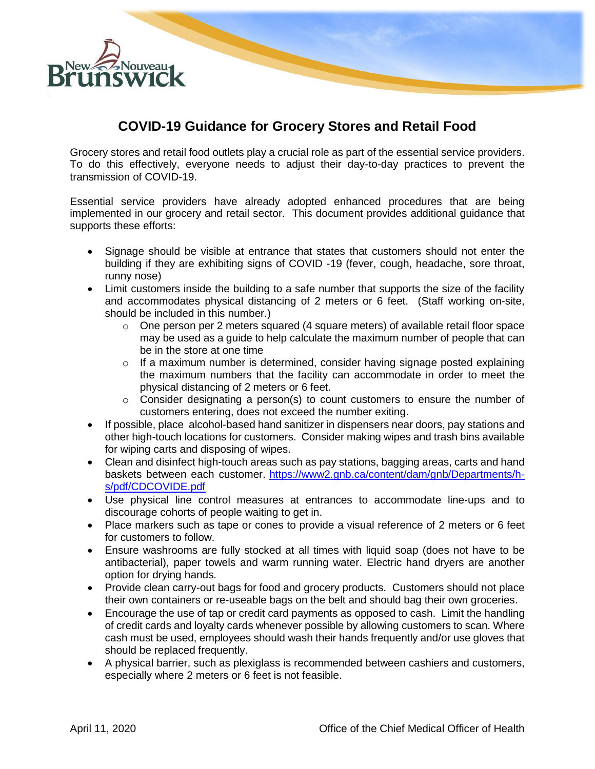

## **COVID-19 Guidance for Grocery Stores and Retail Food**

Grocery stores and retail food outlets play a crucial role as part of the essential service providers. To do this effectively, everyone needs to adjust their day-to-day practices to prevent the transmission of COVID-19.

Essential service providers have already adopted enhanced procedures that are being implemented in our grocery and retail sector. This document provides additional guidance that supports these efforts:

- Signage should be visible at entrance that states that customers should not enter the building if they are exhibiting signs of COVID -19 (fever, cough, headache, sore throat, runny nose)
- Limit customers inside the building to a safe number that supports the size of the facility and accommodates physical distancing of 2 meters or 6 feet. (Staff working on-site, should be included in this number.)
	- $\circ$  One person per 2 meters squared (4 square meters) of available retail floor space may be used as a guide to help calculate the maximum number of people that can be in the store at one time
	- o If a maximum number is determined, consider having signage posted explaining the maximum numbers that the facility can accommodate in order to meet the physical distancing of 2 meters or 6 feet.
	- $\circ$  Consider designating a person(s) to count customers to ensure the number of customers entering, does not exceed the number exiting.
- If possible, place alcohol-based hand sanitizer in dispensers near doors, pay stations and other high-touch locations for customers. Consider making wipes and trash bins available for wiping carts and disposing of wipes.
- Clean and disinfect high-touch areas such as pay stations, bagging areas, carts and hand baskets between each customer. [https://www2.gnb.ca/content/dam/gnb/Departments/h](https://www2.gnb.ca/content/dam/gnb/Departments/h-s/pdf/CDCOVIDE.pdf)[s/pdf/CDCOVIDE.pdf](https://www2.gnb.ca/content/dam/gnb/Departments/h-s/pdf/CDCOVIDE.pdf)
- Use physical line control measures at entrances to accommodate line-ups and to discourage cohorts of people waiting to get in.
- Place markers such as tape or cones to provide a visual reference of 2 meters or 6 feet for customers to follow.
- Ensure washrooms are fully stocked at all times with liquid soap (does not have to be antibacterial), paper towels and warm running water. Electric hand dryers are another option for drying hands.
- Provide clean carry-out bags for food and grocery products. Customers should not place their own containers or re-useable bags on the belt and should bag their own groceries.
- Encourage the use of tap or credit card payments as opposed to cash. Limit the handling of credit cards and loyalty cards whenever possible by allowing customers to scan. Where cash must be used, employees should wash their hands frequently and/or use gloves that should be replaced frequently.
- A physical barrier, such as plexiglass is recommended between cashiers and customers, especially where 2 meters or 6 feet is not feasible.